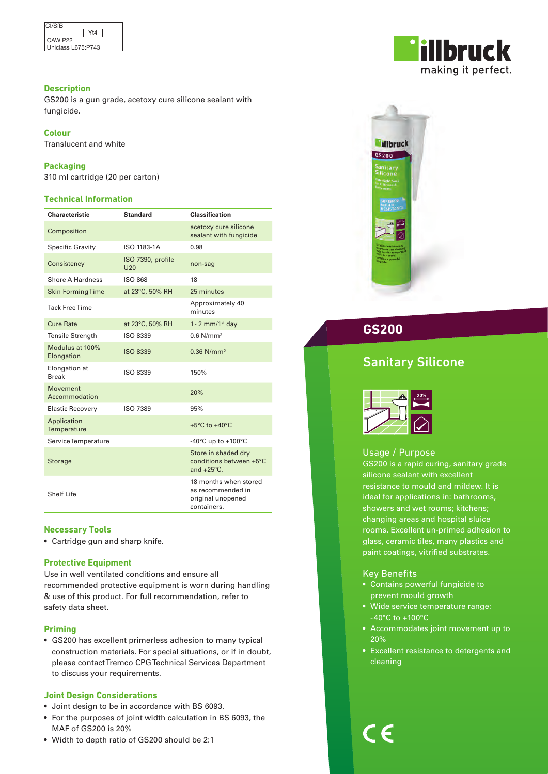| CI/SfB              |     |  |
|---------------------|-----|--|
|                     | Yt4 |  |
| CAW P <sub>22</sub> |     |  |
| Uniclass L675:P743  |     |  |

### **Description**

GS200 is a gun grade, acetoxy cure silicone sealant with fungicide.

### **Colour**

Translucent and white

### **Packaging**

310 ml cartridge (20 per carton)

### **Technical Information**

| Characteristic                | <b>Standard</b>                 | <b>Classification</b>                                                          |
|-------------------------------|---------------------------------|--------------------------------------------------------------------------------|
| Composition                   |                                 | acetoxy cure silicone<br>sealant with fungicide                                |
| <b>Specific Gravity</b>       | ISO 1183-1A                     | 0.98                                                                           |
| Consistency                   | ISO 7390, profile<br><b>U20</b> | non-sag                                                                        |
| Shore A Hardness              | <b>ISO 868</b>                  | 18                                                                             |
| <b>Skin Forming Time</b>      | at 23°C, 50% RH                 | 25 minutes                                                                     |
| <b>Tack Free Time</b>         |                                 | Approximately 40<br>minutes                                                    |
| <b>Cure Rate</b>              | at 23°C, 50% RH                 | 1 - 2 mm/1 $st$ day                                                            |
| <b>Tensile Strength</b>       | ISO 8339                        | $0.6$ N/mm <sup>2</sup>                                                        |
| Modulus at 100%<br>Elongation | <b>ISO 8339</b>                 | $0.36$ N/mm <sup>2</sup>                                                       |
| Elongation at<br><b>Break</b> | ISO 8339                        | 150%                                                                           |
| Movement<br>Accommodation     |                                 | 20%                                                                            |
| <b>Elastic Recovery</b>       | ISO 7389                        | 95%                                                                            |
| Application<br>Temperature    |                                 | $+5^{\circ}$ C to $+40^{\circ}$ C                                              |
| Service Temperature           |                                 | -40 $^{\circ}$ C up to +100 $^{\circ}$ C                                       |
| <b>Storage</b>                |                                 | Store in shaded dry<br>conditions between +5°C<br>and $+25^{\circ}$ C.         |
| <b>Shelf Life</b>             |                                 | 18 months when stored<br>as recommended in<br>original unopened<br>containers. |

# **Necessary Tools**

• Cartridge gun and sharp knife.

### **Protective Equipment**

Use in well ventilated conditions and ensure all recommended protective equipment is worn during handling & use of this product. For full recommendation, refer to safety data sheet.

### **Priming**

• GS200 has excellent primerless adhesion to many typical construction materials. For special situations, or if in doubt, please contact Tremco CPG Technical Services Department to discuss your requirements.

### **Joint Design Considerations**

• Joint design to be in accordance with BS 6093.

- For the purposes of joint width calculation in BS 6093, the MAF of GS200 is 20%
- Width to depth ratio of GS200 should be 2:1





# **GS200**

# Sanitary Silicone



# Usage / Purpose

GS200 is a rapid curing, sanitary grade silicone sealant with excellent resistance to mould and mildew. It is ideal for applications in: bathrooms, showers and wet rooms; kitchens; changing areas and hospital sluice rooms. Excellent un-primed adhesion to glass, ceramic tiles, many plastics and paint coatings, vitrified substrates.

# Key Benefits

- Contains powerful fungicide to prevent mould growth
- Wide service temperature range: -40°C to +100°C
- Accommodates joint movement up to 20%
- Excellent resistance to detergents and cleaning

 $\epsilon$